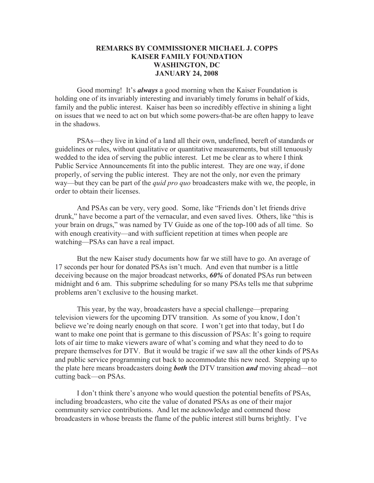## **REMARKS BY COMMISSIONER MICHAEL J. COPPS KAISER FAMILY FOUNDATION WASHINGTON, DC JANUARY 24, 2008**

Good morning! It's *always* a good morning when the Kaiser Foundation is holding one of its invariably interesting and invariably timely forums in behalf of kids, family and the public interest. Kaiser has been so incredibly effective in shining a light on issues that we need to act on but which some powers-that-be are often happy to leave in the shadows.

PSAs—they live in kind of a land all their own, undefined, bereft of standards or guidelines or rules, without qualitative or quantitative measurements, but still tenuously wedded to the idea of serving the public interest. Let me be clear as to where I think Public Service Announcements fit into the public interest. They are one way, if done properly, of serving the public interest. They are not the only, nor even the primary way—but they can be part of the *quid pro quo* broadcasters make with we, the people, in order to obtain their licenses.

And PSAs can be very, very good. Some, like "Friends don't let friends drive drunk," have become a part of the vernacular, and even saved lives. Others, like "this is your brain on drugs," was named by TV Guide as one of the top-100 ads of all time. So with enough creativity—and with sufficient repetition at times when people are watching—PSAs can have a real impact.

But the new Kaiser study documents how far we still have to go. An average of 17 seconds per hour for donated PSAs isn't much. And even that number is a little deceiving because on the major broadcast networks, *60%* of donated PSAs run between midnight and 6 am. This subprime scheduling for so many PSAs tells me that subprime problems aren't exclusive to the housing market.

This year, by the way, broadcasters have a special challenge—preparing television viewers for the upcoming DTV transition. As some of you know, I don't believe we're doing nearly enough on that score. I won't get into that today, but I do want to make one point that is germane to this discussion of PSAs: It's going to require lots of air time to make viewers aware of what's coming and what they need to do to prepare themselves for DTV. But it would be tragic if we saw all the other kinds of PSAs and public service programming cut back to accommodate this new need. Stepping up to the plate here means broadcasters doing *both* the DTV transition *and* moving ahead—not cutting back—on PSAs.

I don't think there's anyone who would question the potential benefits of PSAs, including broadcasters, who cite the value of donated PSAs as one of their major community service contributions. And let me acknowledge and commend those broadcasters in whose breasts the flame of the public interest still burns brightly. I've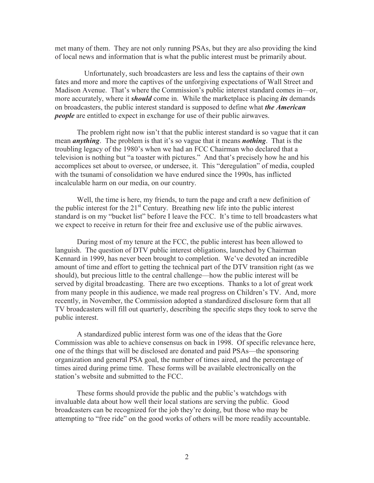met many of them. They are not only running PSAs, but they are also providing the kind of local news and information that is what the public interest must be primarily about.

Unfortunately, such broadcasters are less and less the captains of their own fates and more and more the captives of the unforgiving expectations of Wall Street and Madison Avenue. That's where the Commission's public interest standard comes in—or, more accurately, where it *should* come in. While the marketplace is placing *its* demands on broadcasters, the public interest standard is supposed to define what *the American people* are entitled to expect in exchange for use of their public airwaves.

The problem right now isn't that the public interest standard is so vague that it can mean *anything*. The problem is that it's so vague that it means *nothing*. That is the troubling legacy of the 1980's when we had an FCC Chairman who declared that a television is nothing but "a toaster with pictures." And that's precisely how he and his accomplices set about to oversee, or undersee, it. This "deregulation" of media, coupled with the tsunami of consolidation we have endured since the 1990s, has inflicted incalculable harm on our media, on our country.

Well, the time is here, my friends, to turn the page and craft a new definition of the public interest for the  $21<sup>st</sup>$  Century. Breathing new life into the public interest standard is on my "bucket list" before I leave the FCC. It's time to tell broadcasters what we expect to receive in return for their free and exclusive use of the public airwaves.

During most of my tenure at the FCC, the public interest has been allowed to languish. The question of DTV public interest obligations, launched by Chairman Kennard in 1999, has never been brought to completion. We've devoted an incredible amount of time and effort to getting the technical part of the DTV transition right (as we should), but precious little to the central challenge—how the public interest will be served by digital broadcasting. There are two exceptions. Thanks to a lot of great work from many people in this audience, we made real progress on Children's TV. And, more recently, in November, the Commission adopted a standardized disclosure form that all TV broadcasters will fill out quarterly, describing the specific steps they took to serve the public interest.

A standardized public interest form was one of the ideas that the Gore Commission was able to achieve consensus on back in 1998. Of specific relevance here, one of the things that will be disclosed are donated and paid PSAs—the sponsoring organization and general PSA goal, the number of times aired, and the percentage of times aired during prime time. These forms will be available electronically on the station's website and submitted to the FCC.

These forms should provide the public and the public's watchdogs with invaluable data about how well their local stations are serving the public. Good broadcasters can be recognized for the job they're doing, but those who may be attempting to "free ride" on the good works of others will be more readily accountable.